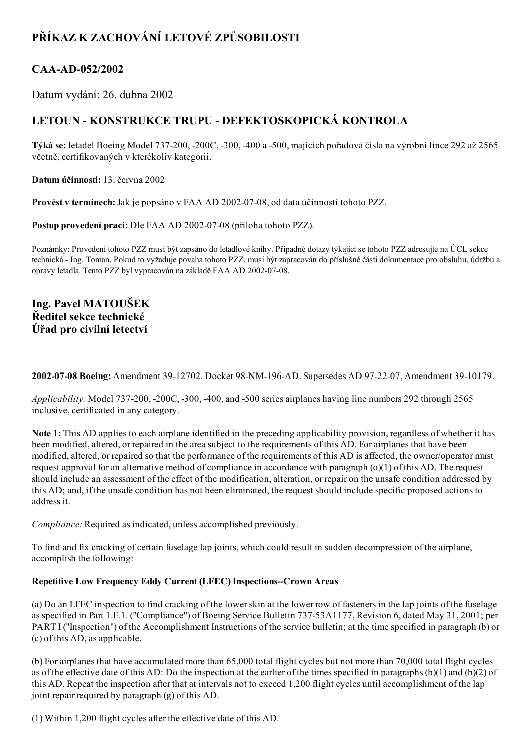# PŘÍKAZ K ZACHOVÁNÍ LETOVÉ ZPŮSOBILOSTI

# CAA-AD-052/2002

Datum vydání: 26. dubna 2002

# LETOUN - KONSTRUKCE TRUPU - DEFEKTOSKOPICKÁ KONTROLA

Týká se: letadel Boeing Model 737200, 200C, 300, 400 a 500, majících pořadová čísla na výrobní lince 292 až 2565 včetně, certifikovaných v kterékoliv kategorii.

Datum účinnosti: 13. června 2002

Provést v termínech: Jak je popsáno v FAA AD 2002-07-08, od data účinnosti tohoto PZZ.

Postup provedení prací: Dle FAA AD 2002-07-08 (příloha tohoto PZZ).

Poznámky: Provedení tohoto PZZ musí být zapsáno do letadlové knihy. Případné dotazy týkající se tohoto PZZ adresujte na ÚCL sekce technická Ing. Toman. Pokud to vyžaduje povaha tohoto PZZ, musí být zapracován do příslušné části dokumentace pro obsluhu, údržbu a opravy letadla. Tento PZZ byl vypracován na základě FAA AD 2002-07-08.

### Ing. Pavel MATOUŠEK Ředitel sekce technické Úřad pro civilní letectví

2002-07-08 Boeing: Amendment 39-12702. Docket 98-NM-196-AD. Supersedes AD 97-22-07, Amendment 39-10179.

Applicability: Model 737-200, -200C, -300, -400, and -500 series airplanes having line numbers 292 through 2565 inclusive, certificated in any category.

Note 1: This AD applies to each airplane identified in the preceding applicability provision, regardless of whether it has been modified, altered, or repaired in the area subject to the requirements of this AD. For airplanes that have been modified, altered, or repaired so that the performance of the requirements of this AD is affected, the owner/operator must request approval for an alternative method of compliance in accordance with paragraph  $(o)(1)$  of this AD. The request should include an assessment of the effect of the modification, alteration, or repair on the unsafe condition addressed by this AD; and, if the unsafe condition has not been eliminated, the request should include specific proposed actions to address it.

Compliance: Required as indicated, unless accomplished previously.

To find and fix cracking of certain fuselage lap joints, which could result in sudden decompression of the airplane, accomplish the following:

#### Repetitive Low Frequency Eddy Current (LFEC) Inspections--Crown Areas

(a) Do an LFEC inspection to find cracking of the lowerskin at the lower row of fasteners in the lap joints of the fuselage as specified in Part 1.E.1. ("Compliance") of Boeing Service Bulletin 73753A1177, Revision 6, dated May 31, 2001; per PART I ("Inspection") of the Accomplishment Instructions of the service bulletin; at the time specified in paragraph (b) or (c) of this AD, as applicable.

(b) For airplanes that have accumulated more than 65,000 total flight cycles but not more than 70,000 total flight cycles as of the effective date of this AD: Do the inspection at the earlier of the times specified in paragraphs  $(b)(1)$  and  $(b)(2)$  of this AD. Repeat the inspection after that at intervals not to exceed 1,200 flight cycles until accomplishment of the lap joint repair required by paragraph (g) of this AD.

(1) Within 1,200 flight cycles after the effective date of this AD.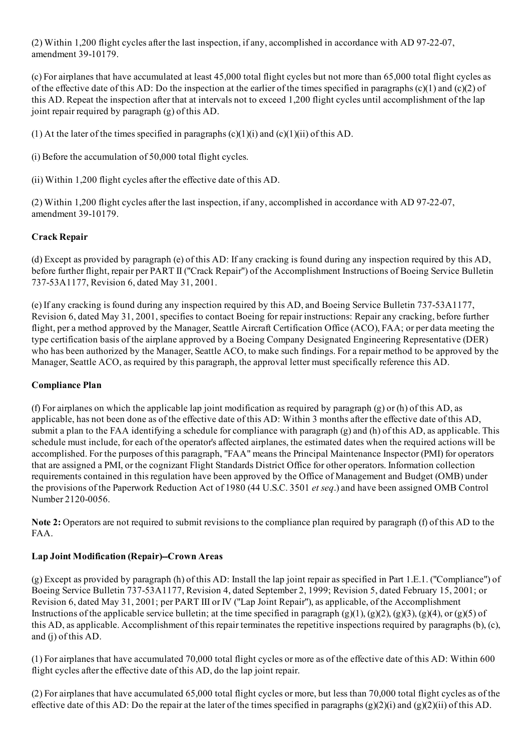(2) Within 1,200 flight cycles after the last inspection, if any, accomplished in accordance with AD 97-22-07, amendment 39-10179.

(c) For airplanes that have accumulated at least 45,000 total flight cycles but not more than 65,000 total flight cycles as of the effective date of this AD: Do the inspection at the earlier of the times specified in paragraphs  $(c)(1)$  and  $(c)(2)$  of this AD. Repeat the inspection after that at intervals not to exceed 1,200 flight cycles until accomplishment of the lap joint repair required by paragraph (g) of this AD.

(1) At the later of the times specified in paragraphs  $(c)(1)(i)$  and  $(c)(1)(ii)$  of this AD.

(i) Before the accumulation of 50,000 total flight cycles.

(ii) Within 1,200 flight cycles after the effective date of this AD.

(2) Within 1,200 flight cycles after the last inspection, if any, accomplished in accordance with AD 97-22-07, amendment 39-10179.

#### Crack Repair

(d) Except as provided by paragraph (e) of this AD: If any cracking is found during any inspection required by this AD, before further flight, repair per PART II ("Crack Repair") of the Accomplishment Instructions of Boeing Service Bulletin 73753A1177, Revision 6, dated May 31, 2001.

(e) If any cracking is found during any inspection required by this AD, and Boeing Service Bulletin 73753A1177, Revision 6, dated May 31, 2001, specifies to contact Boeing for repair instructions: Repair any cracking, before further flight, per a method approved by the Manager, Seattle Aircraft Certification Office (ACO), FAA; or per data meeting the type certification basis of the airplane approved by a Boeing Company Designated Engineering Representative (DER) who has been authorized by the Manager, Seattle ACO, to make such findings. For a repair method to be approved by the Manager, Seattle ACO, as required by this paragraph, the approval letter must specifically reference this AD.

#### Compliance Plan

(f) For airplanes on which the applicable lap joint modification as required by paragraph (g) or (h) of this AD, as applicable, has not been done as of the effective date of this AD: Within 3 months after the effective date of this AD, submit a plan to the FAA identifying a schedule for compliance with paragraph (g) and (h) of this AD, as applicable. This schedule must include, for each of the operator's affected airplanes, the estimated dates when the required actions will be accomplished. For the purposes of this paragraph, "FAA" means the Principal Maintenance Inspector (PMI) for operators that are assigned a PMI, or the cognizant Flight Standards District Office for other operators. Information collection requirements contained in this regulation have been approved by the Office of Management and Budget (OMB) under the provisions of the Paperwork Reduction Act of 1980 (44 U.S.C. 3501 et seq.) and have been assigned OMB Control Number 2120-0056.

Note 2: Operators are not required to submit revisions to the compliance plan required by paragraph (f) of this AD to the FAA.

#### Lap Joint Modification (Repair)--Crown Areas

(g) Except as provided by paragraph (h) of this AD: Install the lap joint repair as specified in Part 1.E.1. ("Compliance") of Boeing Service Bulletin 73753A1177, Revision 4, dated September 2, 1999; Revision 5, dated February 15, 2001; or Revision 6, dated May 31, 2001; per PART III or IV ("Lap Joint Repair"), as applicable, of the Accomplishment Instructions of the applicable service bulletin; at the time specified in paragraph  $(g)(1), (g)(2), (g)(3), (g)(4),$  or  $(g)(5)$  of this AD, as applicable. Accomplishment of this repair terminates the repetitive inspections required by paragraphs (b), (c), and (j) of this AD.

(1) For airplanes that have accumulated 70,000 total flight cycles or more as of the effective date of this AD: Within 600 flight cycles after the effective date of this AD, do the lap joint repair.

(2) For airplanes that have accumulated 65,000 total flight cycles or more, but less than 70,000 total flight cycles as of the effective date of this AD: Do the repair at the later of the times specified in paragraphs (g)(2)(i) and (g)(2)(ii) of this AD.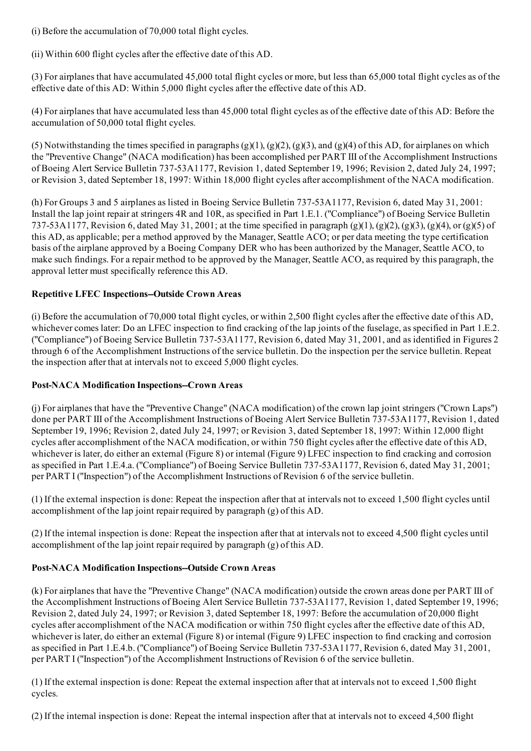(i) Before the accumulation of 70,000 total flight cycles.

(ii) Within 600 flight cycles after the effective date of this AD.

(3) For airplanes that have accumulated 45,000 total flight cycles or more, but less than 65,000 total flight cycles as of the effective date of this AD: Within 5,000 flight cycles after the effective date of this AD.

(4) For airplanes that have accumulated less than 45,000 total flight cycles as of the effective date of this AD: Before the accumulation of 50,000 total flight cycles.

(5) Notwithstanding the times specified in paragraphs  $(g)(1)$ ,  $(g)(2)$ ,  $(g)(3)$ , and  $(g)(4)$  of this AD, for airplanes on which the "Preventive Change" (NACA modification) has been accomplished per PART III of the Accomplishment Instructions of Boeing Alert Service Bulletin 737-53A1177, Revision 1, dated September 19, 1996; Revision 2, dated July 24, 1997; or Revision 3, dated September 18, 1997: Within 18,000 flight cycles after accomplishment of the NACA modification.

(h) For Groups 3 and 5 airplanes as listed in Boeing Service Bulletin 737-53A1177, Revision 6, dated May 31, 2001: Install the lap joint repair at stringers 4R and 10R, as specified in Part 1.E.1. ("Compliance") of Boeing Service Bulletin 737-53A1177, Revision 6, dated May 31, 2001; at the time specified in paragraph (g)(1), (g)(2), (g)(3), (g)(4), or (g)(5) of this AD, as applicable; per a method approved by the Manager, Seattle ACO; or per data meeting the type certification basis of the airplane approved by a Boeing Company DER who has been authorized by the Manager, Seattle ACO, to make such findings. For a repair method to be approved by the Manager, Seattle ACO, as required by this paragraph, the approval letter must specifically reference this AD.

#### Repetitive LFEC Inspections--Outside Crown Areas

(i) Before the accumulation of 70,000 total flight cycles, or within 2,500 flight cycles after the effective date of this AD, whichever comes later: Do an LFEC inspection to find cracking of the lap joints of the fuselage, as specified in Part 1.E.2. ("Compliance") of Boeing Service Bulletin 73753A1177, Revision 6, dated May 31, 2001, and as identified in Figures 2 through 6 of the Accomplishment Instructions of the service bulletin. Do the inspection per the service bulletin. Repeat the inspection after that at intervals not to exceed 5,000 flight cycles.

#### Post-NACA Modification Inspections--Crown Areas

(j) For airplanes that have the "Preventive Change" (NACA modification) of the crown lap joint stringers ("Crown Laps") done per PART III of the Accomplishment Instructions of Boeing Alert Service Bulletin 737-53A1177, Revision 1, dated September 19, 1996; Revision 2, dated July 24, 1997; or Revision 3, dated September 18, 1997: Within 12,000 flight cycles after accomplishment of the NACA modification, or within 750 flight cycles after the effective date of this AD, whichever is later, do either an external (Figure 8) or internal (Figure 9) LFEC inspection to find cracking and corrosion as specified in Part 1.E.4.a. ("Compliance") of Boeing Service Bulletin 737-53A1177, Revision 6, dated May 31, 2001; per PART I ("Inspection") of the Accomplishment Instructions of Revision 6 of the service bulletin.

(1) If the external inspection is done: Repeat the inspection after that at intervals not to exceed 1,500 flight cycles until accomplishment of the lap joint repair required by paragraph (g) of this AD.

(2) If the internal inspection is done: Repeat the inspection after that at intervals not to exceed 4,500 flight cycles until accomplishment of the lap joint repair required by paragraph (g) of this AD.

#### Post-NACA Modification Inspections--Outside Crown Areas

(k) For airplanes that have the "Preventive Change" (NACA modification) outside the crown areas done per PART III of the Accomplishment Instructions of Boeing Alert Service Bulletin 737-53A1177, Revision 1, dated September 19, 1996; Revision 2, dated July 24, 1997; or Revision 3, dated September 18, 1997: Before the accumulation of 20,000 flight cycles after accomplishment of the NACA modification or within 750 flight cycles after the effective date of this AD, whichever is later, do either an external (Figure 8) or internal (Figure 9) LFEC inspection to find cracking and corrosion as specified in Part 1.E.4.b. ("Compliance") of Boeing Service Bulletin 737-53A1177, Revision 6, dated May 31, 2001, per PART I ("Inspection") of the Accomplishment Instructions of Revision 6 of the service bulletin.

(1) If the external inspection is done: Repeat the external inspection after that at intervals not to exceed 1,500 flight cycles.

(2) If the internal inspection is done: Repeat the internal inspection after that at intervals not to exceed 4,500 flight